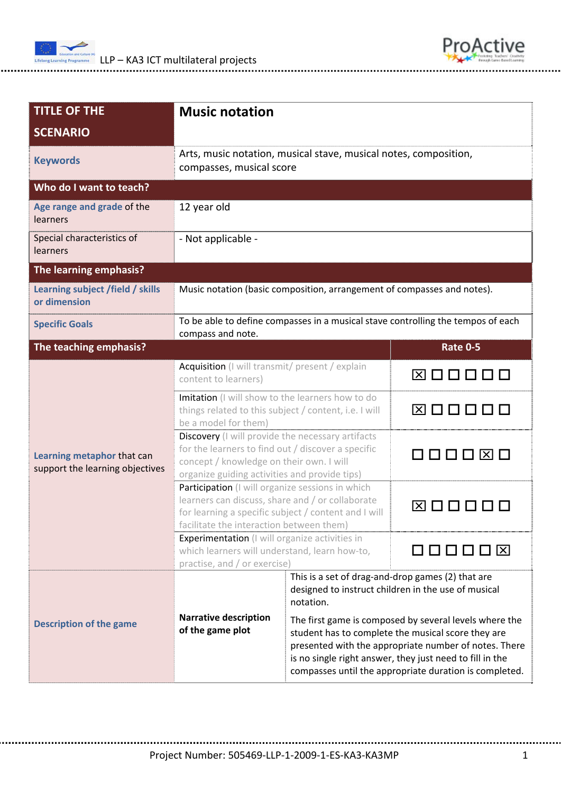



| <b>TITLE OF THE</b>                                           | <b>Music notation</b>                                                                                                                                                                                    |                                                                                                                                                                                                                                                                                             |                 |  |  |
|---------------------------------------------------------------|----------------------------------------------------------------------------------------------------------------------------------------------------------------------------------------------------------|---------------------------------------------------------------------------------------------------------------------------------------------------------------------------------------------------------------------------------------------------------------------------------------------|-----------------|--|--|
| <b>SCENARIO</b>                                               |                                                                                                                                                                                                          |                                                                                                                                                                                                                                                                                             |                 |  |  |
| <b>Keywords</b>                                               | Arts, music notation, musical stave, musical notes, composition,<br>compasses, musical score                                                                                                             |                                                                                                                                                                                                                                                                                             |                 |  |  |
| Who do I want to teach?                                       |                                                                                                                                                                                                          |                                                                                                                                                                                                                                                                                             |                 |  |  |
| Age range and grade of the<br><b>learners</b>                 | 12 year old                                                                                                                                                                                              |                                                                                                                                                                                                                                                                                             |                 |  |  |
| Special characteristics of<br>learners                        | - Not applicable -                                                                                                                                                                                       |                                                                                                                                                                                                                                                                                             |                 |  |  |
| The learning emphasis?                                        |                                                                                                                                                                                                          |                                                                                                                                                                                                                                                                                             |                 |  |  |
| Learning subject /field / skills<br>or dimension              | Music notation (basic composition, arrangement of compasses and notes).                                                                                                                                  |                                                                                                                                                                                                                                                                                             |                 |  |  |
| <b>Specific Goals</b>                                         | To be able to define compasses in a musical stave controlling the tempos of each<br>compass and note.                                                                                                    |                                                                                                                                                                                                                                                                                             |                 |  |  |
| The teaching emphasis?                                        |                                                                                                                                                                                                          |                                                                                                                                                                                                                                                                                             | <b>Rate 0-5</b> |  |  |
| Learning metaphor that can<br>support the learning objectives | Acquisition (I will transmit/ present / explain<br>content to learners)                                                                                                                                  |                                                                                                                                                                                                                                                                                             | 图□□□□□          |  |  |
|                                                               | Imitation (I will show to the learners how to do<br>things related to this subject / content, i.e. I will<br>be a model for them)                                                                        |                                                                                                                                                                                                                                                                                             | ⊠□□□□□          |  |  |
|                                                               | Discovery (I will provide the necessary artifacts<br>for the learners to find out / discover a specific<br>concept / knowledge on their own. I will<br>organize guiding activities and provide tips)     |                                                                                                                                                                                                                                                                                             |                 |  |  |
|                                                               | Participation (I will organize sessions in which<br>learners can discuss, share and / or collaborate<br>for learning a specific subject / content and I will<br>facilitate the interaction between them) |                                                                                                                                                                                                                                                                                             | ⊠ □             |  |  |
|                                                               | <b>Experimentation</b> (I will organize activities in<br>which learners will understand, learn how-to,<br>practise, and / or exercise)                                                                   |                                                                                                                                                                                                                                                                                             | 000008          |  |  |
| <b>Description of the game</b>                                | This is a set of drag-and-drop games (2) that are<br>designed to instruct children in the use of musical<br>notation.                                                                                    |                                                                                                                                                                                                                                                                                             |                 |  |  |
|                                                               | <b>Narrative description</b><br>of the game plot                                                                                                                                                         | The first game is composed by several levels where the<br>student has to complete the musical score they are<br>presented with the appropriate number of notes. There<br>is no single right answer, they just need to fill in the<br>compasses until the appropriate duration is completed. |                 |  |  |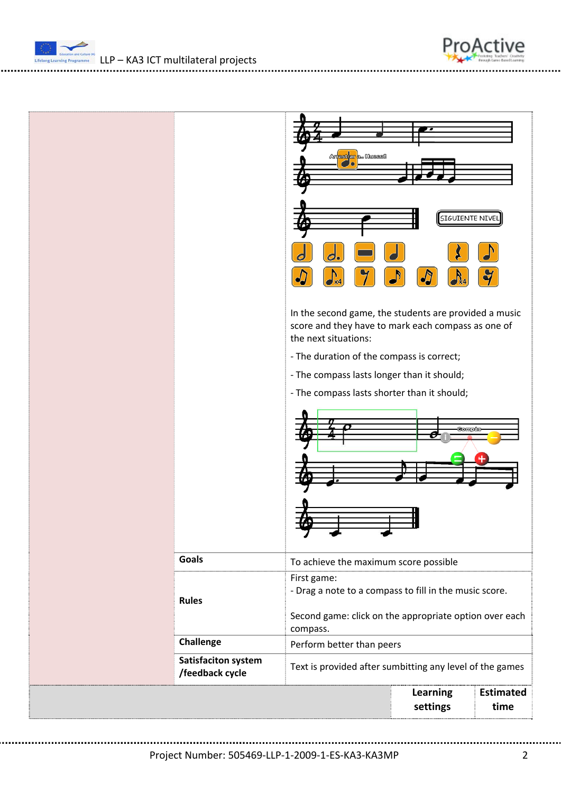



ProActive